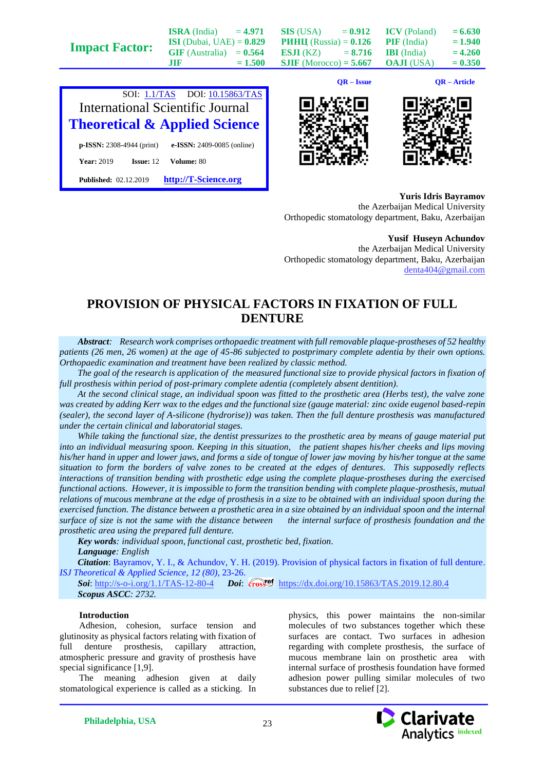**Impact Factor:**

**ISRA** (India)  $= 4.971$ **ISI** (Dubai, UAE) = **0.829**  $GIF$  (Australia)  $= 0.564$  $JIF = 1.500$  **SIS** (USA)  $= 0.912$ **РИНЦ** (Russia) = **0.126 ESJI** (KZ)  $= 8.716$ **SJIF** (Morocco) **= 5.667**

 $ICV$  (Poland)  $= 6.630$ **PIF** (India)  $= 1.940$ **IBI** (India)  $= 4.260$ **OAJI** (USA)  $= 0.350$ 



**Published:** 02.12.2019 **[http://T-Science.org](http://t-science.org/)**

**QR – Issue QR – Article**





**Yuris Idris Bayramov** the Azerbaijan Medical University Orthopedic stomatology department, Baku, Azerbaijan

**Yusif Huseyn Achundov**

the Azerbaijan Medical University Orthopedic stomatology department, Baku, Azerbaijan [denta404@gmail.com](mailto:denta404@gmail.com)

# **PROVISION OF PHYSICAL FACTORS IN FIXATION OF FULL DENTURE**

*Abstract: Research work comprises orthopaedic treatment with full removable plaque-prostheses of 52 healthy patients (26 men, 26 women) at the age of 45-86 subjected to postprimary complete adentia by their own options. Orthopaedic examination and treatment have been realized by classic method.*

*The goal of the research is application of the measured functional size to provide physical factors in fixation of full prosthesis within period of post-primary complete adentia (completely absent dentition).* 

*At the second clinical stage, an individual spoon was fitted to the prosthetic area (Herbs test), the valve zone was created by adding Kerr wax to the edges and the functional size (gauge material: zinc oxide eugenol based-repin (sealer), the second layer of A-silicone (hydrorise)) was taken. Then the full denture prosthesis was manufactured under the certain clinical and laboratorial stages.* 

*While taking the functional size, the dentist pressurizes to the prosthetic area by means of gauge material put into an individual measuring spoon. Keeping in this situation, the patient shapes his/her cheeks and lips moving his/her hand in upper and lower jaws, and forms a side of tongue of lower jaw moving by his/her tongue at the same situation to form the borders of valve zones to be created at the edges of dentures. This supposedly reflects interactions of transition bending with prosthetic edge using the complete plaque-prostheses during the exercised functional actions. However, it is impossible to form the transition bending with complete plaque-prosthesis, mutual relations of mucous membrane at the edge of prosthesis in a size to be obtained with an individual spoon during the exercised function. The distance between a prosthetic area in a size obtained by an individual spoon and the internal surface of size is not the same with the distance between the internal surface of prosthesis foundation and the prosthetic area using the prepared full denture.*

*Key words: individual spoon, functional cast, prosthetic bed, fixation. Language: English*

*Citation*: Bayramov, Y. I., & Achundov, Y. H. (2019). Provision of physical factors in fixation of full denture. *ISJ Theoretical & Applied Science, 12 (80),* 23-26.

**Soi**[: http://s-o-i.org/1.1/TAS-12-80-4](http://s-o-i.org/1.1/TAS-12-80-4) *Doi: crosseneed <https://dx.doi.org/10.15863/TAS.2019.12.80.4> Scopus ASCC: 2732.*

## **Introduction**

Adhesion, cohesion, surface tension and glutinosity as physical factors relating with fixation of full denture prosthesis, capillary attraction, atmospheric pressure and gravity of prosthesis have special significance [1,9].

The meaning adhesion given at daily stomatological experience is called as a sticking. In physics, this power maintains the non-similar molecules of two substances together which these surfaces are contact. Two surfaces in adhesion regarding with complete prosthesis, the surface of mucous membrane lain on prosthetic area with internal surface of prosthesis foundation have formed adhesion power pulling similar molecules of two substances due to relief [2].

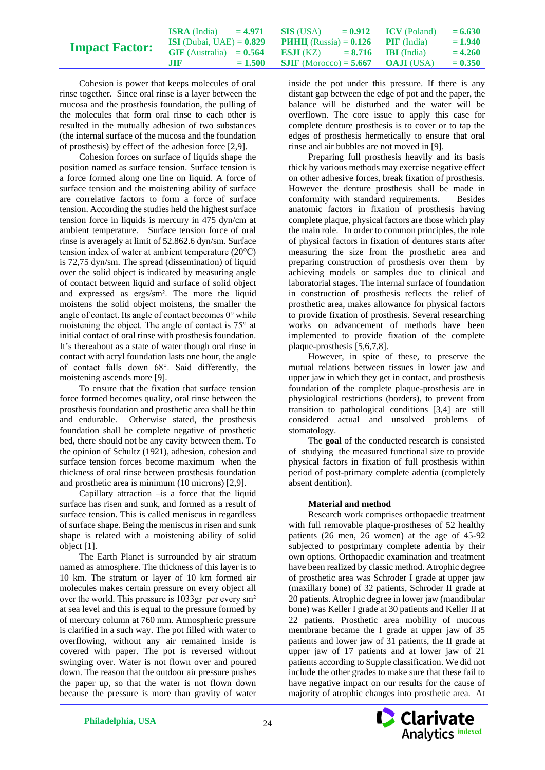|                       | <b>ISRA</b> (India)                                                                   | $= 4.971$ SIS (USA) $= 0.912$ ICV (Poland)  |  | $= 6.630$ |
|-----------------------|---------------------------------------------------------------------------------------|---------------------------------------------|--|-----------|
| <b>Impact Factor:</b> | <b>ISI</b> (Dubai, UAE) = $0.829$ <b>PIIHII</b> (Russia) = $0.126$ <b>PIF</b> (India) |                                             |  | $= 1.940$ |
|                       | GIF (Australia) = $0.564$ ESJI (KZ) = $8.716$ IBI (India)                             |                                             |  | $= 4.260$ |
|                       | $\overline{\text{M}}$                                                                 | $= 1.500$ SJIF (Morocco) = 5.667 OAJI (USA) |  | $= 0.350$ |

Cohesion is power that keeps molecules of oral rinse together. Since oral rinse is a layer between the mucosa and the prosthesis foundation, the pulling of the molecules that form oral rinse to each other is resulted in the mutually adhesion of two substances (the internal surface of the mucosa and the foundation of prosthesis) by effect of the adhesion force [2,9].

Cohesion forces on surface of liquids shape the position named as surface tension. Surface tension is a force formed along one line on liquid. A force of surface tension and the moistening ability of surface are correlative factors to form a force of surface tension. According the studies held the highest surface tension force in liquids is mercury in 475 dyn/cm at ambient temperature. Surface tension force of oral rinse is averagely at limit of 52.862.6 dyn/sm. Surface tension index of water at ambient temperature (20°C) is 72,75 dyn/sm. The spread (dissemination) of liquid over the solid object is indicated by measuring angle of contact between liquid and surface of solid object and expressed as ergs/sm². The more the liquid moistens the solid object moistens, the smaller the angle of contact. Its angle of contact becomes 0° while moistening the object. The angle of contact is 75° at initial contact of oral rinse with prosthesis foundation. It's thereabout as a state of water though oral rinse in contact with acryl foundation lasts one hour, the angle of contact falls down 68°. Said differently, the moistening ascends more [9].

To ensure that the fixation that surface tension force formed becomes quality, oral rinse between the prosthesis foundation and prosthetic area shall be thin and endurable. Otherwise stated, the prosthesis foundation shall be complete negative of prosthetic bed, there should not be any cavity between them. To the opinion of Schultz (1921), adhesion, cohesion and surface tension forces become maximum when the thickness of oral rinse between prosthesis foundation and prosthetic area is minimum (10 microns) [2,9].

Capillary attraction –is a force that the liquid surface has risen and sunk, and formed as a result of surface tension. This is called meniscus in regardless of surface shape. Being the meniscus in risen and sunk shape is related with a moistening ability of solid object [1].

The Earth Planet is surrounded by air stratum named as atmosphere. The thickness of this layer is to 10 km. The stratum or layer of 10 km formed air molecules makes certain pressure on every object all over the world. This pressure is 1033gr per every sm<sup>2</sup> at sea level and this is equal to the pressure formed by of mercury column at 760 mm. Atmospheric pressure is clarified in a such way. The pot filled with water to overflowing, without any air remained inside is covered with paper. The pot is reversed without swinging over. Water is not flown over and poured down. The reason that the outdoor air pressure pushes the paper up, so that the water is not flown down because the pressure is more than gravity of water

inside the pot under this pressure. If there is any distant gap between the edge of pot and the paper, the balance will be disturbed and the water will be overflown. The core issue to apply this case for complete denture prosthesis is to cover or to tap the edges of prosthesis hermetically to ensure that oral rinse and air bubbles are not moved in [9].

Preparing full prosthesis heavily and its basis thick by various methods may exercise negative effect on other adhesive forces, break fixation of prosthesis. However the denture prosthesis shall be made in conformity with standard requirements. Besides anatomic factors in fixation of prosthesis having complete plaque, physical factors are those which play the main role. In order to common principles, the role of physical factors in fixation of dentures starts after measuring the size from the prosthetic area and preparing construction of prosthesis over them by achieving models or samples due to clinical and laboratorial stages. The internal surface of foundation in construction of prosthesis reflects the relief of prosthetic area, makes allowance for physical factors to provide fixation of prosthesis. Several researching works on advancement of methods have been implemented to provide fixation of the complete plaque-prosthesis [5,6,7,8].

However, in spite of these, to preserve the mutual relations between tissues in lower jaw and upper jaw in which they get in contact, and prosthesis foundation of the complete plaque-prosthesis are in physiological restrictions (borders), to prevent from transition to pathological conditions [3,4] are still considered actual and unsolved problems of stomatology.

The **goal** of the conducted research is consisted of studying the measured functional size to provide physical factors in fixation of full prosthesis within period of post-primary complete adentia (completely absent dentition).

# **Material and method**

Research work comprises orthopaedic treatment with full removable plaque-prostheses of 52 healthy patients (26 men, 26 women) at the age of 45-92 subjected to postprimary complete adentia by their own options. Orthopaedic examination and treatment have been realized by classic method. Atrophic degree of prosthetic area was Schroder I grade at upper jaw (maxillary bone) of 32 patients, Schroder II grade at 20 patients. Atrophic degree in lower jaw (mandibular bone) was Keller I grade at 30 patients and Keller II at 22 patients. Prosthetic area mobility of mucous membrane became the I grade at upper jaw of 35 patients and lower jaw of 31 patients, the II grade at upper jaw of 17 patients and at lower jaw of 21 patients according to Supple classification. We did not include the other grades to make sure that these fail to have negative impact on our results for the cause of majority of atrophic changes into prosthetic area. At

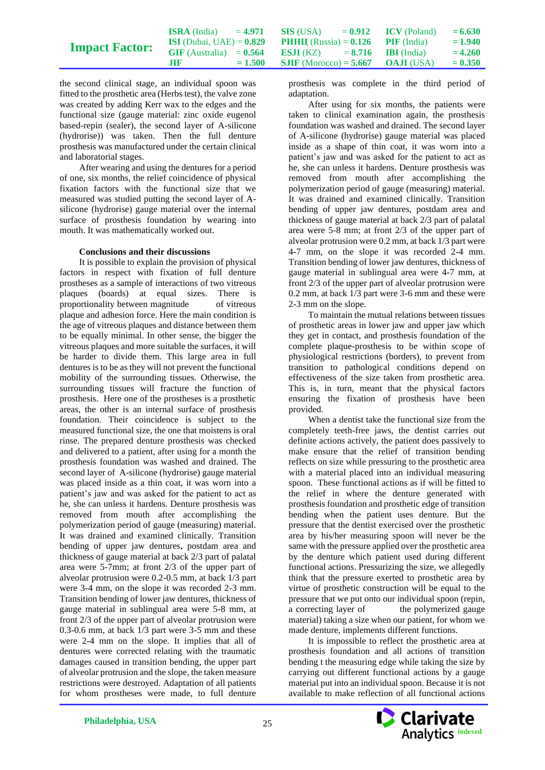|                       | <b>ISRA</b> (India) = 4.971 <b>SIS</b> (USA) = $0.912$ <b>ICV</b> (Poland)           |           |                                                 |  | $= 6.630$ |
|-----------------------|--------------------------------------------------------------------------------------|-----------|-------------------------------------------------|--|-----------|
| <b>Impact Factor:</b> | <b>ISI</b> (Dubai, UAE) = $0.829$ <b>PIHII</b> (Russia) = $0.126$ <b>PIF</b> (India) |           |                                                 |  | $= 1.940$ |
|                       | $GIF$ (Australia) = $0.564$                                                          |           | <b>ESJI</b> (KZ) $= 8.716$ <b>IBI</b> (India)   |  | $= 4.260$ |
|                       | .HF                                                                                  | $= 1.500$ | <b>SJIF</b> (Morocco) = <b>5.667 OAJI</b> (USA) |  | $= 0.350$ |

the second clinical stage, an individual spoon was fitted to the prosthetic area (Herbs test), the valve zone was created by adding Kerr wax to the edges and the functional size (gauge material: zinc oxide eugenol based-repin (sealer), the second layer of A-silicone (hydrorise)) was taken. Then the full denture prosthesis was manufactured under the certain clinical and laboratorial stages.

After wearing and using the dentures for a period of one, six months, the relief coincidence of physical fixation factors with the functional size that we measured was studied putting the second layer of Asilicone (hydrorise) gauge material over the internal surface of prosthesis foundation by wearing into mouth. It was mathematically worked out.

#### **Conclusions and their discussions**

It is possible to explain the provision of physical factors in respect with fixation of full denture prostheses as a sample of interactions of two vitreous<br>plagues (boards) at equal sizes. There is plaques (boards) at equal sizes. proportionality between magnitude of vitreous plaque and adhesion force. Here the main condition is the age of vitreous plaques and distance between them to be equally minimal. In other sense, the bigger the vitreous plaques and more suitable the surfaces, it will be harder to divide them. This large area in full dentures is to be as they will not prevent the functional mobility of the surrounding tissues. Otherwise, the surrounding tissues will fracture the function of prosthesis. Here one of the prostheses is a prosthetic areas, the other is an internal surface of prosthesis foundation. Their coincidence is subject to the measured functional size, the one that moistens is oral rinse. The prepared denture prosthesis was checked and delivered to a patient, after using for a month the prosthesis foundation was washed and drained. The second layer of A-silicone (hydrorise) gauge material was placed inside as a thin coat, it was worn into a patient's jaw and was asked for the patient to act as he, she can unless it hardens. Denture prosthesis was removed from mouth after accomplishing the polymerization period of gauge (measuring) material. It was drained and examined clinically. Transition bending of upper jaw dentures, postdam area and thickness of gauge material at back 2/3 part of palatal area were 5-7mm; at front 2/3 of the upper part of alveolar protrusion were 0.2-0.5 mm, at back 1/3 part were 3-4 mm, on the slope it was recorded 2-3 mm. Transition bending of lower jaw dentures, thickness of gauge material in sublingual area were 5-8 mm, at front 2/3 of the upper part of alveolar protrusion were 0.3-0.6 mm, at back 1/3 part were 3-5 mm and these were 2-4 mm on the slope. It implies that all of dentures were corrected relating with the traumatic damages caused in transition bending, the upper part of alveolar protrusion and the slope, the taken measure restrictions were destroyed. Adaptation of all patients for whom prostheses were made, to full denture

prosthesis was complete in the third period of adaptation.

After using for six months, the patients were taken to clinical examination again, the prosthesis foundation was washed and drained. The second layer of A-silicone (hydrorise) gauge material was placed inside as a shape of thin coat, it was worn into a patient's jaw and was asked for the patient to act as he, she can unless it hardens. Denture prosthesis was removed from mouth after accomplishing the polymerization period of gauge (measuring) material. It was drained and examined clinically. Transition bending of upper jaw dentures, postdam area and thickness of gauge material at back 2/3 part of palatal area were 5-8 mm; at front 2/3 of the upper part of alveolar protrusion were 0.2 mm, at back 1/3 part were 4-7 mm, on the slope it was recorded 2-4 mm. Transition bending of lower jaw dentures, thickness of gauge material in sublingual area were 4-7 mm, at front 2/3 of the upper part of alveolar protrusion were 0.2 mm, at back 1/3 part were 3-6 mm and these were 2-3 mm on the slope.

To maintain the mutual relations between tissues of prosthetic areas in lower jaw and upper jaw which they get in contact, and prosthesis foundation of the complete plaque-prosthesis to be within scope of physiological restrictions (borders), to prevent from transition to pathological conditions depend on effectiveness of the size taken from prosthetic area. This is, in turn, meant that the physical factors ensuring the fixation of prosthesis have been provided.

When a dentist take the functional size from the completely teeth-free jaws, the dentist carries out definite actions actively, the patient does passively to make ensure that the relief of transition bending reflects on size while pressuring to the prosthetic area with a material placed into an individual measuring spoon. These functional actions as if will be fitted to the relief in where the denture generated with prosthesis foundation and prosthetic edge of transition bending when the patient uses denture. But the pressure that the dentist exercised over the prosthetic area by his/her measuring spoon will never be the same with the pressure applied over the prosthetic area by the denture which patient used during different functional actions. Pressurizing the size, we allegedly think that the pressure exerted to prosthetic area by virtue of prosthetic construction will be equal to the pressure that we put onto our individual spoon (repin, a correcting layer of the polymerized gauge material) taking a size when our patient, for whom we made denture, implements different functions.

It is impossible to reflect the prosthetic area at prosthesis foundation and all actions of transition bending t the measuring edge while taking the size by carrying out different functional actions by a gauge material put into an individual spoon. Because it is not available to make reflection of all functional actions